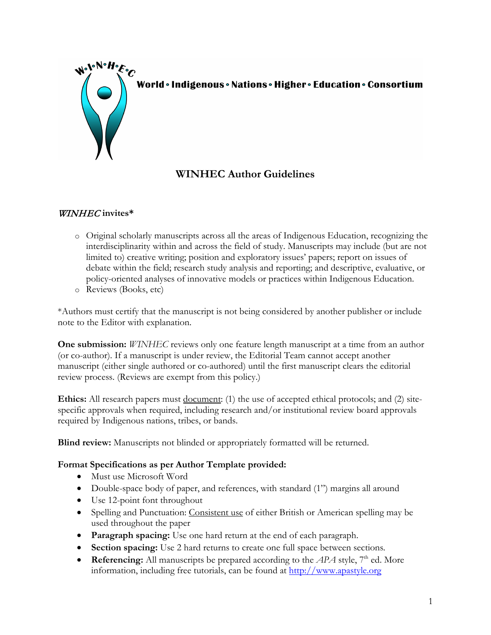

World · Indigenous · Nations · Higher · Education · Consortium

# **WINHEC Author Guidelines**

### WINHEC **invites\***

- o Original scholarly manuscripts across all the areas of Indigenous Education, recognizing the interdisciplinarity within and across the field of study. Manuscripts may include (but are not limited to) creative writing; position and exploratory issues' papers; report on issues of debate within the field; research study analysis and reporting; and descriptive, evaluative, or policy-oriented analyses of innovative models or practices within Indigenous Education.
- o Reviews (Books, etc)

\*Authors must certify that the manuscript is not being considered by another publisher or include note to the Editor with explanation.

**One submission:** *WINHEC* reviews only one feature length manuscript at a time from an author (or co-author). If a manuscript is under review, the Editorial Team cannot accept another manuscript (either single authored or co-authored) until the first manuscript clears the editorial review process. (Reviews are exempt from this policy.)

**Ethics:** All research papers must <u>document</u>: (1) the use of accepted ethical protocols; and (2) sitespecific approvals when required, including research and/or institutional review board approvals required by Indigenous nations, tribes, or bands.

**Blind review:** Manuscripts not blinded or appropriately formatted will be returned.

#### **Format Specifications as per Author Template provided:**

- Must use Microsoft Word
- Double-space body of paper, and references, with standard (1") margins all around
- Use 12-point font throughout
- Spelling and Punctuation: Consistent use of either British or American spelling may be used throughout the paper
- **Paragraph spacing:** Use one hard return at the end of each paragraph.
- **Section spacing:** Use 2 hard returns to create one full space between sections.
- **Referencing:** All manuscripts be prepared according to the  $APA$  style,  $7<sup>th</sup>$  ed. More information, including free tutorials, can be found at [http://www.apastyle.org](http://www.apastyle.org/)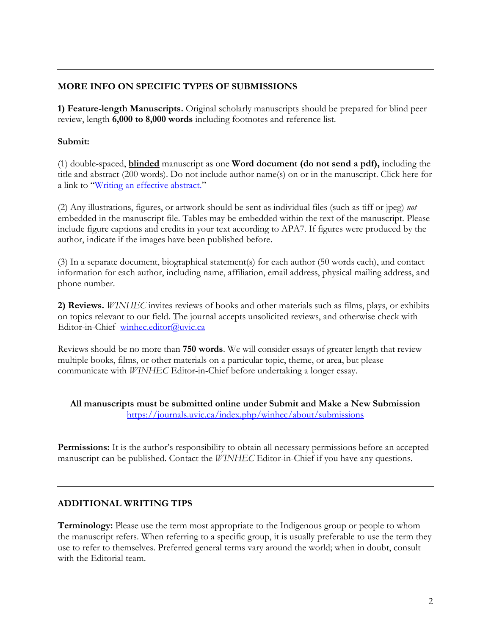## **MORE INFO ON SPECIFIC TYPES OF SUBMISSIONS**

**1) Feature-length Manuscripts.** Original scholarly manuscripts should be prepared for blind peer review, length **6,000 to 8,000 words** including footnotes and reference list.

## **Submit:**

(1) double-spaced, **blinded** manuscript as one **Word document (do not send a pdf),** including the title and abstract (200 words). Do not include author name(s) on or in the manuscript. Click here for a link to ["Writing an effective abstract."](https://www.insidehighered.com/advice/2017/02/23/importance-writing-effective-abstract-when-you-submit-journal-article-essay)

(2) Any illustrations, figures, or artwork should be sent as individual files (such as tiff or jpeg) *not* embedded in the manuscript file. Tables may be embedded within the text of the manuscript. Please include figure captions and credits in your text according to APA7. If figures were produced by the author, indicate if the images have been published before.

(3) In a separate document, biographical statement(s) for each author (50 words each), and contact information for each author, including name, affiliation, email address, physical mailing address, and phone number.

**2) Reviews.** *WINHEC* invites reviews of books and other materials such as films, plays, or exhibits on topics relevant to our field. The journal accepts unsolicited reviews, and otherwise check with Editor-in-Chief [winhec.editor@uvic.ca](mailto:winhec.editor@uvic.ca)

Reviews should be no more than **750 words**. We will consider essays of greater length that review multiple books, films, or other materials on a particular topic, theme, or area, but please communicate with *WINHEC* Editor-in-Chief before undertaking a longer essay.

**All manuscripts must be submitted online under Submit and Make a New Submission** <https://journals.uvic.ca/index.php/winhec/about/submissions>

**Permissions:** It is the author's responsibility to obtain all necessary permissions before an accepted manuscript can be published. Contact the *WINHEC* Editor-in-Chief if you have any questions.

## **ADDITIONAL WRITING TIPS**

**Terminology:** Please use the term most appropriate to the Indigenous group or people to whom the manuscript refers. When referring to a specific group, it is usually preferable to use the term they use to refer to themselves. Preferred general terms vary around the world; when in doubt, consult with the Editorial team.